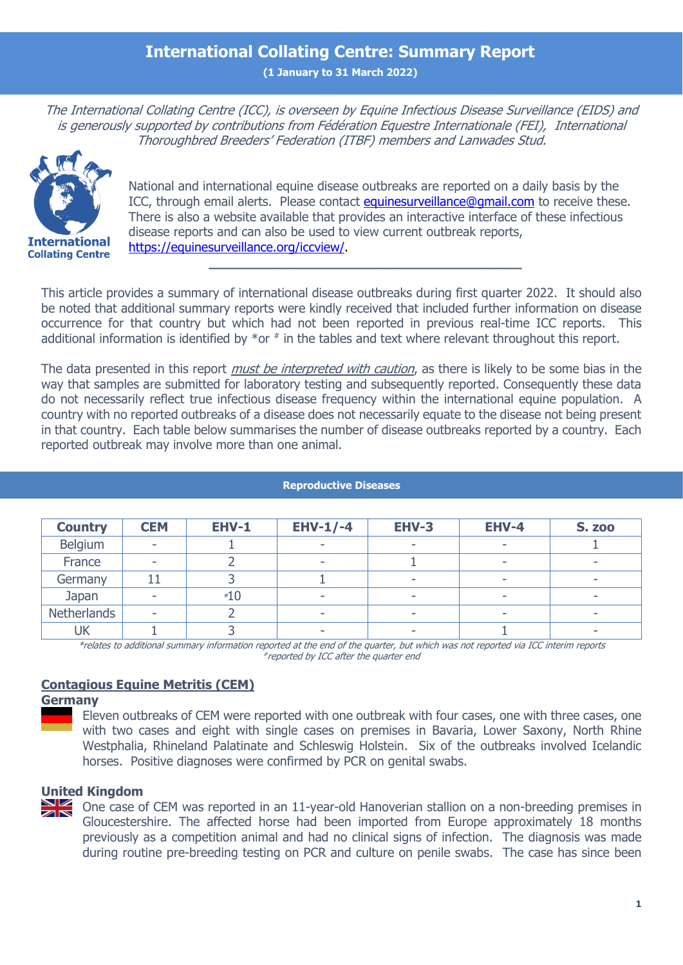## **International Collating Centre: Summary Report**

**(1 January to 31 March 2022)**

The International Collating Centre (ICC), is overseen by Equine Infectious Disease Surveillance (EIDS) and is generously supported by contributions from Fédération Equestre Internationale (FEI), International Thoroughbred Breeders' Federation (ITBF) members and Lanwades Stud. Information Exchange on Infectious Equine Disease



National and international equine disease outbreaks are reported on a daily basis by the ICC, through email alerts. Please contact [equinesurveillance@gmail.com](mailto:equinesurveillance@gmail.com) to receive these. There is also a website available that provides an interactive interface of these infectious disease reports and can also be used to view current outbreak reports, [https://equinesurveillance.org/iccview/.](https://equinesurveillance.org/iccview/)

**\_\_\_\_\_\_\_\_\_\_\_\_\_\_\_\_\_\_\_\_\_\_\_\_\_\_\_\_\_\_\_\_\_\_\_\_\_\_\_**

This article provides a summary of international disease outbreaks during first quarter 2022. It should also be noted that additional summary reports were kindly received that included further information on disease occurrence for that country but which had not been reported in previous real-time ICC reports. This additional information is identified by  $*$ or  $*$  in the tables and text where relevant throughout this report.

The data presented in this report *must be interpreted with caution*, as there is likely to be some bias in the way that samples are submitted for laboratory testing and subsequently reported. Consequently these data do not necessarily reflect true infectious disease frequency within the international equine population. A country with no reported outbreaks of a disease does not necessarily equate to the disease not being present in that country. Each table below summarises the number of disease outbreaks reported by a country. Each reported outbreak may involve more than one animal.

| <b>Country</b>                                                                                                                    | <b>CEM</b> | <b>EHV-1</b> | $EHV-1/-4$ | <b>EHV-3</b> | EHV-4 | <b>S. zoo</b> |
|-----------------------------------------------------------------------------------------------------------------------------------|------------|--------------|------------|--------------|-------|---------------|
| Belgium                                                                                                                           |            |              |            |              |       |               |
| France                                                                                                                            |            |              |            |              |       |               |
| Germany                                                                                                                           |            |              |            |              |       |               |
| Japan                                                                                                                             |            | $*10$        |            |              |       |               |
| <b>Netherlands</b>                                                                                                                |            |              |            |              |       |               |
| UK                                                                                                                                |            |              |            |              |       |               |
| xxelates to additional summary information reported at the end of the suprtyre but which was not reported via ICC interim reports |            |              |            |              |       |               |

#### **Reproductive Diseases**

\*relates to additional summary information reported at the end of the quarter, but which was not reported via ICC interim reports # reported by ICC after the quarter end

## **Contagious Equine Metritis (CEM)**

## **Germany**

Eleven outbreaks of CEM were reported with one outbreak with four cases, one with three cases, one with two cases and eight with single cases on premises in Bavaria, Lower Saxony, North Rhine Westphalia, Rhineland Palatinate and Schleswig Holstein. Six of the outbreaks involved Icelandic horses. Positive diagnoses were confirmed by PCR on genital swabs.

#### **United Kingdom**

One case of CEM was reported in an 11-year-old Hanoverian stallion on a non-breeding premises in ZN Gloucestershire. The affected horse had been imported from Europe approximately 18 months previously as a competition animal and had no clinical signs of infection. The diagnosis was made during routine pre-breeding testing on PCR and culture on penile swabs. The case has since been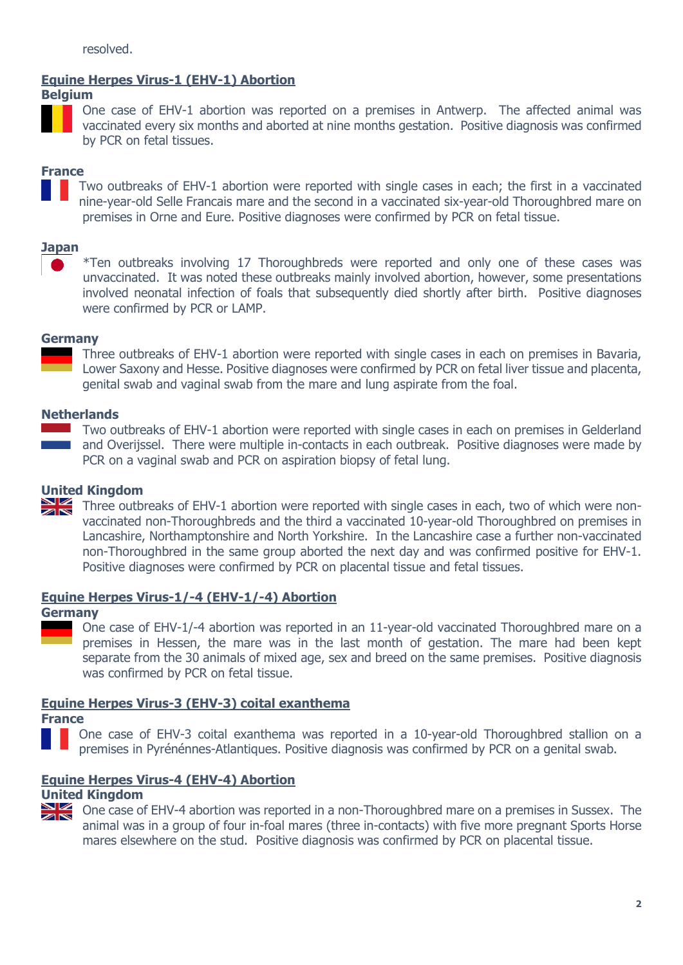## **Equine Herpes Virus-1 (EHV-1) Abortion**

## **Belgium**



One case of EHV-1 abortion was reported on a premises in Antwerp. The affected animal was vaccinated every six months and aborted at nine months gestation. Positive diagnosis was confirmed by PCR on fetal tissues.

## **France**

Two outbreaks of EHV-1 abortion were reported with single cases in each; the first in a vaccinated nine-year-old Selle Francais mare and the second in a vaccinated six-year-old Thoroughbred mare on premises in Orne and Eure. Positive diagnoses were confirmed by PCR on fetal tissue.

## **Japan**

\*Ten outbreaks involving 17 Thoroughbreds were reported and only one of these cases was unvaccinated. It was noted these outbreaks mainly involved abortion, however, some presentations involved neonatal infection of foals that subsequently died shortly after birth. Positive diagnoses were confirmed by PCR or LAMP.

#### **Germany**

Three outbreaks of EHV-1 abortion were reported with single cases in each on premises in Bavaria, Lower Saxony and Hesse. Positive diagnoses were confirmed by PCR on fetal liver tissue and placenta, genital swab and vaginal swab from the mare and lung aspirate from the foal.

## **Netherlands**

 $\sim 10^{10}$  m  $^{-1}$ 

Two outbreaks of EHV-1 abortion were reported with single cases in each on premises in Gelderland and Overijssel. There were multiple in-contacts in each outbreak. Positive diagnoses were made by PCR on a vaginal swab and PCR on aspiration biopsy of fetal lung.

## **United Kingdom**<br>Three outbi

Three outbreaks of EHV-1 abortion were reported with single cases in each, two of which were nonvaccinated non-Thoroughbreds and the third a vaccinated 10-year-old Thoroughbred on premises in Lancashire, Northamptonshire and North Yorkshire. In the Lancashire case a further non-vaccinated non-Thoroughbred in the same group aborted the next day and was confirmed positive for EHV-1. Positive diagnoses were confirmed by PCR on placental tissue and fetal tissues.

## **Equine Herpes Virus-1/-4 (EHV-1/-4) Abortion**

#### **Germany**

One case of EHV-1/-4 abortion was reported in an 11-year-old vaccinated Thoroughbred mare on a premises in Hessen, the mare was in the last month of gestation. The mare had been kept separate from the 30 animals of mixed age, sex and breed on the same premises. Positive diagnosis was confirmed by PCR on fetal tissue.

## **Equine Herpes Virus-3 (EHV-3) coital exanthema**

**France**

One case of EHV-3 coital exanthema was reported in a 10-year-old Thoroughbred stallion on a premises in Pyrénénnes-Atlantiques. Positive diagnosis was confirmed by PCR on a genital swab.

## **Equine Herpes Virus-4 (EHV-4) Abortion**

## **United Kingdom**



One case of EHV-4 abortion was reported in a non-Thoroughbred mare on a premises in Sussex. The animal was in a group of four in-foal mares (three in-contacts) with five more pregnant Sports Horse mares elsewhere on the stud. Positive diagnosis was confirmed by PCR on placental tissue.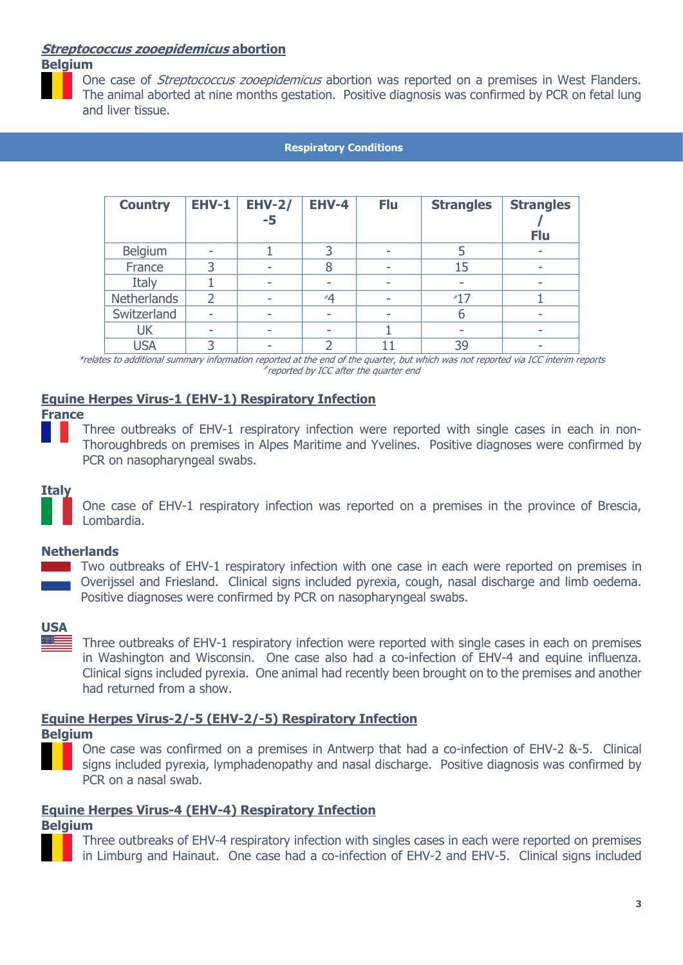## **Streptococcus zooepidemicus abortion**

## **Belgium**



One case of *Streptococcus zooepidemicus* abortion was reported on a premises in West Flanders. The animal aborted at nine months gestation. Positive diagnosis was confirmed by PCR on fetal lung and liver tissue.

#### **Respiratory Conditions**

| <b>Country</b>     | <b>EHV-1</b>   | <b>EHV-2/</b><br>$-5$ | <b>EHV-4</b> | <b>Flu</b> | <b>Strangles</b> | <b>Strangles</b><br><b>Flu</b> |
|--------------------|----------------|-----------------------|--------------|------------|------------------|--------------------------------|
| Belgium            |                |                       |              |            |                  | ۰                              |
| France             |                | ۰                     |              |            | 15               | ۰                              |
| Italy              |                | ۰                     |              |            |                  | ۰                              |
| <b>Netherlands</b> | $\overline{2}$ | ۰                     | #4           | ۰          | $*17$            |                                |
| Switzerland        |                | -                     |              |            | b                |                                |
| <b>UK</b>          |                | -                     |              |            |                  |                                |
| <b>USA</b>         |                |                       |              |            | 39               |                                |

\*relates to additional summary information reported at the end of the quarter, but which was not reported via ICC interim reports # reported by ICC after the quarter end

## **Equine Herpes Virus-1 (EHV-1) Respiratory Infection**

#### **France**

Three outbreaks of EHV-1 respiratory infection were reported with single cases in each in non-Thoroughbreds on premises in Alpes Maritime and Yvelines. Positive diagnoses were confirmed by PCR on nasopharyngeal swabs.

## **Italy**

One case of EHV-1 respiratory infection was reported on a premises in the province of Brescia, Lombardia.

## **Netherlands**

**T** Two outbreaks of EHV-1 respiratory infection with one case in each were reported on premises in Overijssel and Friesland. Clinical signs included pyrexia, cough, nasal discharge and limb oedema. Positive diagnoses were confirmed by PCR on nasopharyngeal swabs.

## **USA**

Three outbreaks of EHV-1 respiratory infection were reported with single cases in each on premises in Washington and Wisconsin. One case also had a co-infection of EHV-4 and equine influenza. Clinical signs included pyrexia. One animal had recently been brought on to the premises and another had returned from a show.

## **Equine Herpes Virus-2/-5 (EHV-2/-5) Respiratory Infection**

#### **Belgium**

One case was confirmed on a premises in Antwerp that had a co-infection of EHV-2 &-5. Clinical signs included pyrexia, lymphadenopathy and nasal discharge. Positive diagnosis was confirmed by PCR on a nasal swab.

## **Equine Herpes Virus-4 (EHV-4) Respiratory Infection**

#### **Belgium**

Three outbreaks of EHV-4 respiratory infection with singles cases in each were reported on premises in Limburg and Hainaut. One case had a co-infection of EHV-2 and EHV-5. Clinical signs included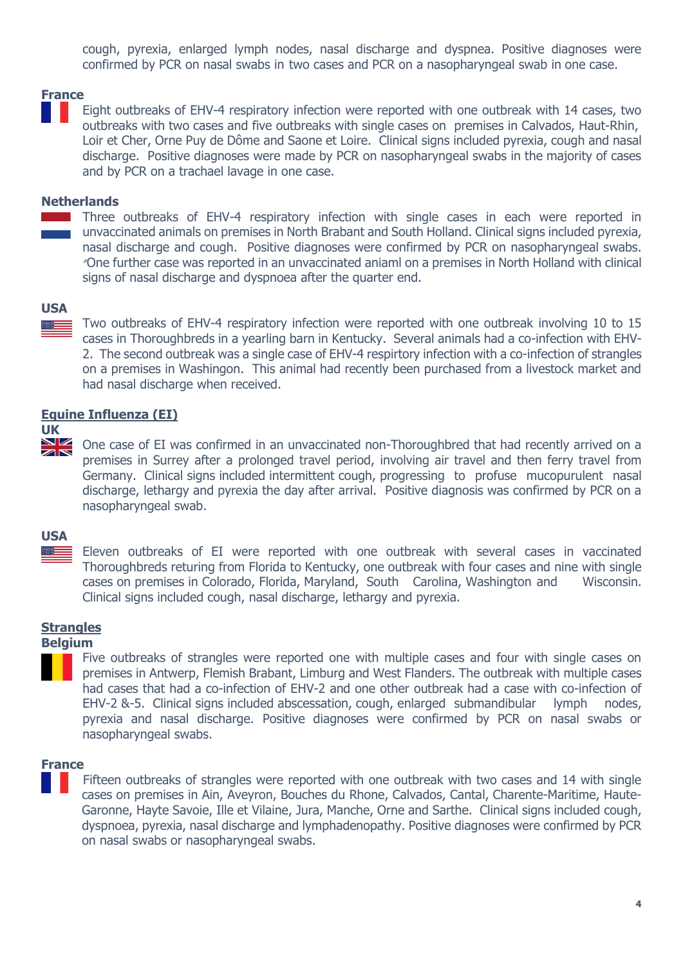cough, pyrexia, enlarged lymph nodes, nasal discharge and dyspnea. Positive diagnoses were confirmed by PCR on nasal swabs in two cases and PCR on a nasopharyngeal swab in one case.

## **France**

Eight outbreaks of EHV-4 respiratory infection were reported with one outbreak with 14 cases, two outbreaks with two cases and five outbreaks with single cases on premises in Calvados, Haut-Rhin, Loir et Cher, Orne Puy de Dôme and Saone et Loire. Clinical signs included pyrexia, cough and nasal discharge. Positive diagnoses were made by PCR on nasopharyngeal swabs in the majority of cases and by PCR on a trachael lavage in one case.

#### **Netherlands**

Three outbreaks of EHV-4 respiratory infection with single cases in each were reported in unvaccinated animals on premises in North Brabant and South Holland. Clinical signs included pyrexia, nasal discharge and cough. Positive diagnoses were confirmed by PCR on nasopharyngeal swabs. # One further case was reported in an unvaccinated aniaml on a premises in North Holland with clinical signs of nasal discharge and dyspnoea after the quarter end.

#### **USA**

Two outbreaks of EHV-4 respiratory infection were reported with one outbreak involving 10 to 15 cases in Thoroughbreds in a yearling barn in Kentucky. Several animals had a co-infection with EHV-2. The second outbreak was a single case of EHV-4 respirtory infection with a co-infection of strangles on a premises in Washingon. This animal had recently been purchased from a livestock market and had nasal discharge when received.

#### **Equine Influenza (EI)**

# UK<br>**MK**

One case of EI was confirmed in an unvaccinated non-Thoroughbred that had recently arrived on a premises in Surrey after a prolonged travel period, involving air travel and then ferry travel from Germany. Clinical signs included intermittent cough, progressing to profuse mucopurulent nasal discharge, lethargy and pyrexia the day after arrival. Positive diagnosis was confirmed by PCR on a nasopharyngeal swab.

#### **USA**

Eleven outbreaks of EI were reported with one outbreak with several cases in vaccinated Thoroughbreds returing from Florida to Kentucky, one outbreak with four cases and nine with single cases on premises in Colorado, Florida, Maryland, South Carolina, Washington and Wisconsin. Clinical signs included cough, nasal discharge, lethargy and pyrexia.

## **Strangles**

#### **Belgium**

Five outbreaks of strangles were reported one with multiple cases and four with single cases on premises in Antwerp, Flemish Brabant, Limburg and West Flanders. The outbreak with multiple cases had cases that had a co-infection of EHV-2 and one other outbreak had a case with co-infection of EHV-2 &-5. Clinical signs included abscessation, cough, enlarged submandibular lymph nodes, pyrexia and nasal discharge. Positive diagnoses were confirmed by PCR on nasal swabs or nasopharyngeal swabs.

#### **France**

Fifteen outbreaks of strangles were reported with one outbreak with two cases and 14 with single cases on premises in Ain, Aveyron, Bouches du Rhone, Calvados, Cantal, Charente-Maritime, Haute-Garonne, Hayte Savoie, Ille et Vilaine, Jura, Manche, Orne and Sarthe. Clinical signs included cough, dyspnoea, pyrexia, nasal discharge and lymphadenopathy. Positive diagnoses were confirmed by PCR on nasal swabs or nasopharyngeal swabs.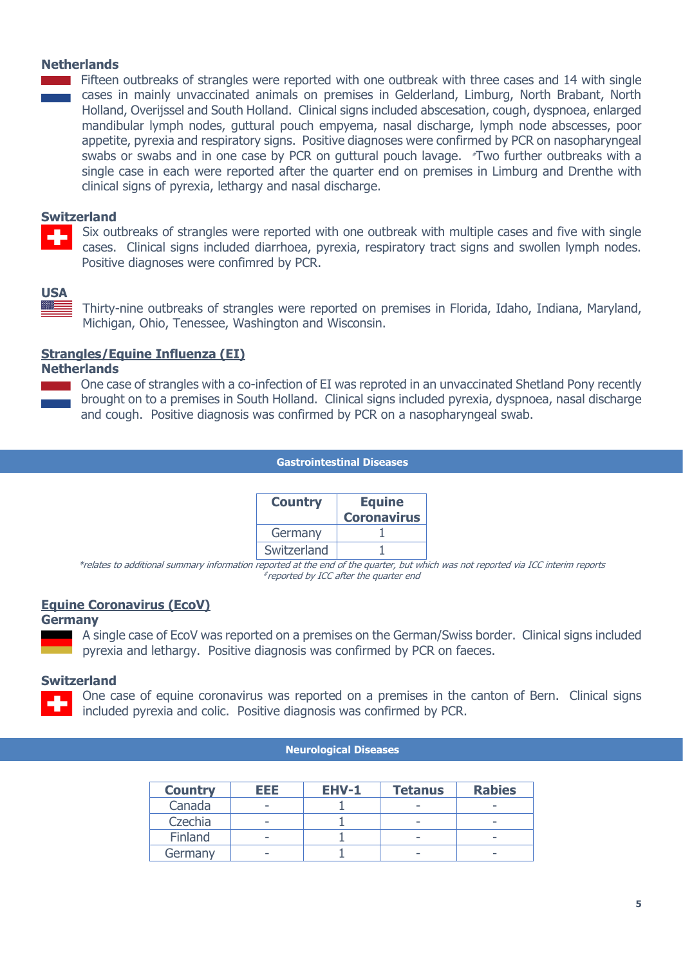## **Netherlands**

Fifteen outbreaks of strangles were reported with one outbreak with three cases and 14 with single cases in mainly unvaccinated animals on premises in Gelderland, Limburg, North Brabant, North Holland, Overijssel and South Holland. Clinical signs included abscesation, cough, dyspnoea, enlarged mandibular lymph nodes, guttural pouch empyema, nasal discharge, lymph node abscesses, poor appetite, pyrexia and respiratory signs. Positive diagnoses were confirmed by PCR on nasopharyngeal swabs or swabs and in one case by PCR on guttural pouch lavage.  $\mathbb{R}$ Two further outbreaks with a single case in each were reported after the quarter end on premises in Limburg and Drenthe with clinical signs of pyrexia, lethargy and nasal discharge.

#### **Switzerland**

Six outbreaks of strangles were reported with one outbreak with multiple cases and five with single cases. Clinical signs included diarrhoea, pyrexia, respiratory tract signs and swollen lymph nodes. Positive diagnoses were confimred by PCR.

## **USA**

Thirty-nine outbreaks of strangles were reported on premises in Florida, Idaho, Indiana, Maryland, Michigan, Ohio, Tenessee, Washington and Wisconsin.

## **Strangles/Equine Influenza (EI)**

#### **Netherlands**

**One case of strangles with a co-infection of EI was reproted in an unvaccinated Shetland Pony recently** brought on to a premises in South Holland. Clinical signs included pyrexia, dyspnoea, nasal discharge and cough. Positive diagnosis was confirmed by PCR on a nasopharyngeal swab.

#### **Gastrointestinal Diseases**

| <b>Country</b> | <b>Equine</b><br><b>Coronavirus</b> |  |  |
|----------------|-------------------------------------|--|--|
| Germany        |                                     |  |  |
| Switzerland    |                                     |  |  |

\*relates to additional summary information reported at the end of the quarter, but which was not reported via ICC interim reports # reported by ICC after the quarter end

## **Equine Coronavirus (EcoV)**

#### **Germany**

A single case of EcoV was reported on a premises on the German/Swiss border. Clinical signs included pyrexia and lethargy. Positive diagnosis was confirmed by PCR on faeces.

## **Switzerland**

One case of equine coronavirus was reported on a premises in the canton of Bern. Clinical signs included pyrexia and colic. Positive diagnosis was confirmed by PCR.

#### **Neurological Diseases**

| <b>Country</b> | EEE. | <b>EHV-1</b> | <b>Tetanus</b>           | <b>Rabies</b> |
|----------------|------|--------------|--------------------------|---------------|
| Canada         | -    |              | -                        |               |
| Czechia        | -    |              | $\overline{\phantom{a}}$ |               |
| Finland        | -    |              | -                        |               |
| Germany        |      |              | $\overline{\phantom{a}}$ |               |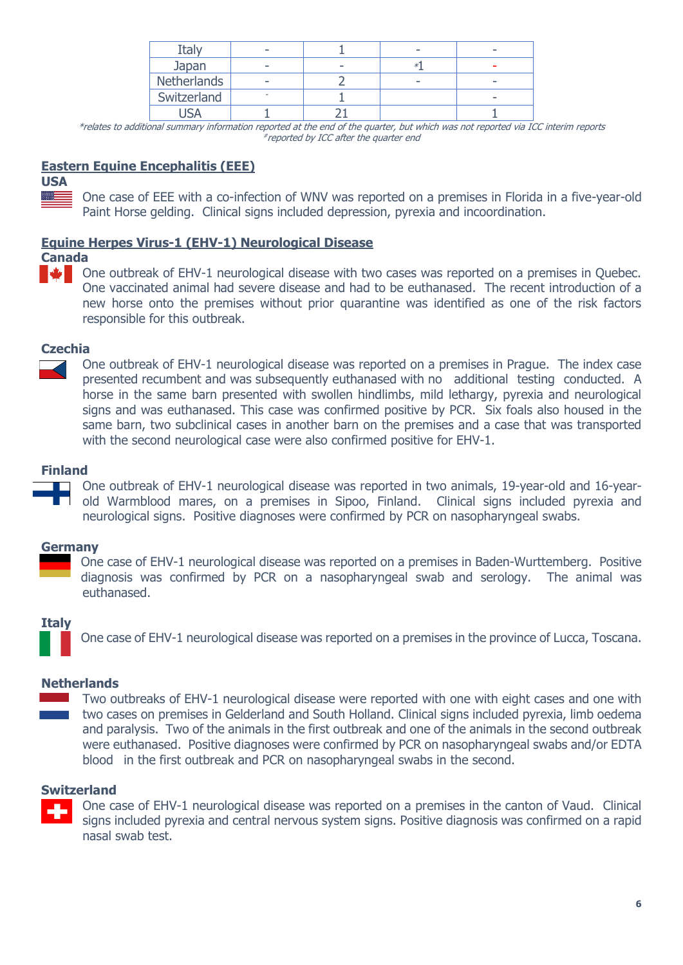| :tal        |   |  |  |
|-------------|---|--|--|
| Japan       |   |  |  |
| Netherlands | - |  |  |
| Switzerland |   |  |  |
|             |   |  |  |

\*relates to additional summary information reported at the end of the quarter, but which was not reported via ICC interim reports # reported by ICC after the quarter end

## **Eastern Equine Encephalitis (EEE)**

**USA** 

One case of EEE with a co-infection of WNV was reported on a premises in Florida in a five-year-old Paint Horse gelding. Clinical signs included depression, pyrexia and incoordination.

## **Equine Herpes Virus-1 (EHV-1) Neurological Disease**

#### **Canada A**

One outbreak of EHV-1 neurological disease with two cases was reported on a premises in Quebec. One vaccinated animal had severe disease and had to be euthanased. The recent introduction of a new horse onto the premises without prior quarantine was identified as one of the risk factors responsible for this outbreak.

## **Czechia**

One outbreak of EHV-1 neurological disease was reported on a premises in Prague. The index case presented recumbent and was subsequently euthanased with no additional testing conducted. A horse in the same barn presented with swollen hindlimbs, mild lethargy, pyrexia and neurological signs and was euthanased. This case was confirmed positive by PCR. Six foals also housed in the same barn, two subclinical cases in another barn on the premises and a case that was transported with the second neurological case were also confirmed positive for EHV-1.

## **Finland**

One outbreak of EHV-1 neurological disease was reported in two animals, 19-year-old and 16-yearold Warmblood mares, on a premises in Sipoo, Finland. Clinical signs included pyrexia and neurological signs. Positive diagnoses were confirmed by PCR on nasopharyngeal swabs.

## **Germany**

One case of EHV-1 neurological disease was reported on a premises in Baden-Wurttemberg. Positive diagnosis was confirmed by PCR on a nasopharyngeal swab and serology. The animal was euthanased.

## **Italy**

One case of EHV-1 neurological disease was reported on a premises in the province of Lucca, Toscana.

## **Netherlands**

Two outbreaks of EHV-1 neurological disease were reported with one with eight cases and one with two cases on premises in Gelderland and South Holland. Clinical signs included pyrexia, limb oedema and paralysis. Two of the animals in the first outbreak and one of the animals in the second outbreak were euthanased. Positive diagnoses were confirmed by PCR on nasopharyngeal swabs and/or EDTA blood in the first outbreak and PCR on nasopharyngeal swabs in the second.

## **Switzerland**



One case of EHV-1 neurological disease was reported on a premises in the canton of Vaud. Clinical signs included pyrexia and central nervous system signs. Positive diagnosis was confirmed on a rapid nasal swab test.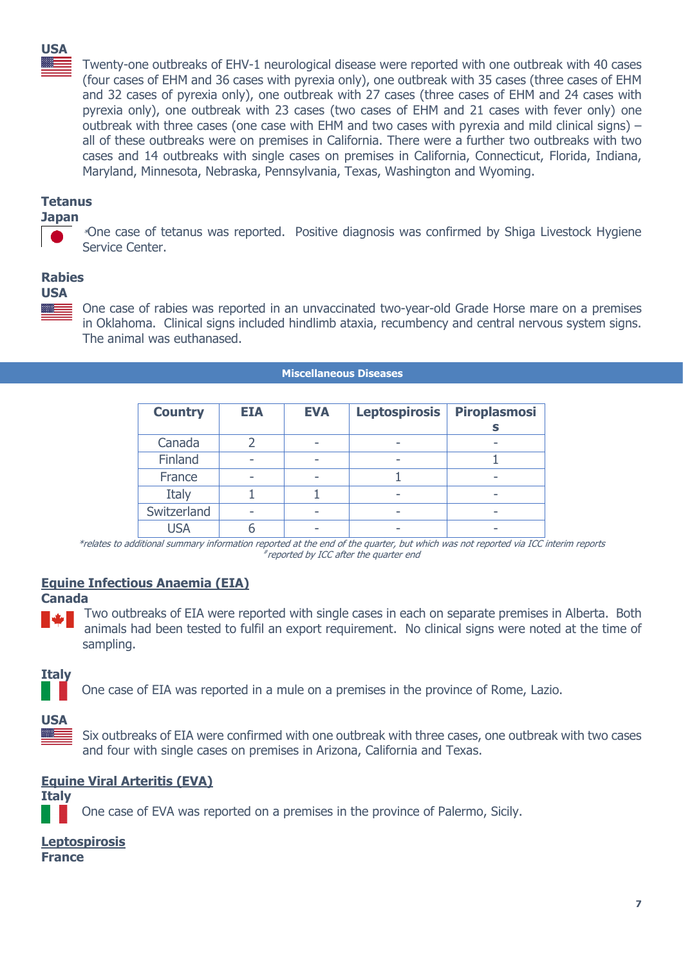## **USA**

Twenty-one outbreaks of EHV-1 neurological disease were reported with one outbreak with 40 cases (four cases of EHM and 36 cases with pyrexia only), one outbreak with 35 cases (three cases of EHM and 32 cases of pyrexia only), one outbreak with 27 cases (three cases of EHM and 24 cases with pyrexia only), one outbreak with 23 cases (two cases of EHM and 21 cases with fever only) one outbreak with three cases (one case with EHM and two cases with pyrexia and mild clinical signs)  $$ all of these outbreaks were on premises in California. There were a further two outbreaks with two cases and 14 outbreaks with single cases on premises in California, Connecticut, Florida, Indiana, Maryland, Minnesota, Nebraska, Pennsylvania, Texas, Washington and Wyoming.

## **Tetanus**

## **Japan**

\*One case of tetanus was reported. Positive diagnosis was confirmed by Shiga Livestock Hygiene Service Center.

## **Rabies**

#### **USA**



One case of rabies was reported in an unvaccinated two-year-old Grade Horse mare on a premises in Oklahoma. Clinical signs included hindlimb ataxia, recumbency and central nervous system signs. The animal was euthanased.

#### **Miscellaneous Diseases**

| <b>Country</b> | <b>EIA</b> | <b>EVA</b> | <b>Leptospirosis</b> | <b>Piroplasmosi</b> |
|----------------|------------|------------|----------------------|---------------------|
| Canada         |            |            |                      |                     |
| Finland        |            |            |                      |                     |
| France         | -          |            |                      | -                   |
| Italy          |            |            |                      |                     |
| Switzerland    |            |            | -                    |                     |
| USA            |            |            |                      |                     |

\*relates to additional summary information reported at the end of the quarter, but which was not reported via ICC interim reports # reported by ICC after the quarter end

## **Equine Infectious Anaemia (EIA)**

**Canada**

Two outbreaks of EIA were reported with single cases in each on separate premises in Alberta. Both animals had been tested to fulfil an export requirement. No clinical signs were noted at the time of sampling.

## **Italy**

One case of EIA was reported in a mule on a premises in the province of Rome, Lazio.

#### **USA** es l

Six outbreaks of EIA were confirmed with one outbreak with three cases, one outbreak with two cases and four with single cases on premises in Arizona, California and Texas.

## **Equine Viral Arteritis (EVA)**

**Italy**

One case of EVA was reported on a premises in the province of Palermo, Sicily.

## **Leptospirosis**

**France**